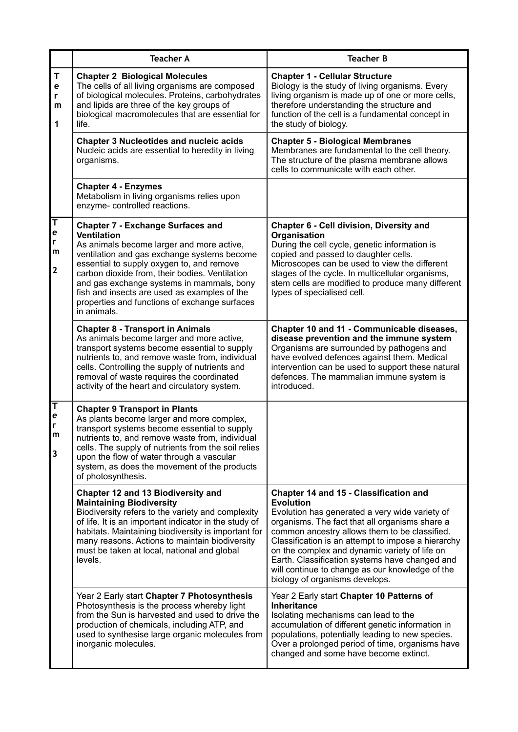|                                             | <b>Teacher A</b>                                                                                                                                                                                                                                                                                                                                                                                                       | <b>Teacher B</b>                                                                                                                                                                                                                                                                                                                                                                                                                                              |
|---------------------------------------------|------------------------------------------------------------------------------------------------------------------------------------------------------------------------------------------------------------------------------------------------------------------------------------------------------------------------------------------------------------------------------------------------------------------------|---------------------------------------------------------------------------------------------------------------------------------------------------------------------------------------------------------------------------------------------------------------------------------------------------------------------------------------------------------------------------------------------------------------------------------------------------------------|
| $\mathsf T$<br>e<br>r<br>m<br>1             | <b>Chapter 2 Biological Molecules</b><br>The cells of all living organisms are composed<br>of biological molecules. Proteins, carbohydrates<br>and lipids are three of the key groups of<br>biological macromolecules that are essential for<br>life.                                                                                                                                                                  | <b>Chapter 1 - Cellular Structure</b><br>Biology is the study of living organisms. Every<br>living organism is made up of one or more cells,<br>therefore understanding the structure and<br>function of the cell is a fundamental concept in<br>the study of biology.                                                                                                                                                                                        |
|                                             | <b>Chapter 3 Nucleotides and nucleic acids</b><br>Nucleic acids are essential to heredity in living<br>organisms.                                                                                                                                                                                                                                                                                                      | <b>Chapter 5 - Biological Membranes</b><br>Membranes are fundamental to the cell theory.<br>The structure of the plasma membrane allows<br>cells to communicate with each other.                                                                                                                                                                                                                                                                              |
|                                             | <b>Chapter 4 - Enzymes</b><br>Metabolism in living organisms relies upon<br>enzyme- controlled reactions.                                                                                                                                                                                                                                                                                                              |                                                                                                                                                                                                                                                                                                                                                                                                                                                               |
| T<br>e<br>r<br>m<br>2                       | <b>Chapter 7 - Exchange Surfaces and</b><br><b>Ventilation</b><br>As animals become larger and more active,<br>ventilation and gas exchange systems become<br>essential to supply oxygen to, and remove<br>carbon dioxide from, their bodies. Ventilation<br>and gas exchange systems in mammals, bony<br>fish and insects are used as examples of the<br>properties and functions of exchange surfaces<br>in animals. | Chapter 6 - Cell division, Diversity and<br>Organisation<br>During the cell cycle, genetic information is<br>copied and passed to daughter cells.<br>Microscopes can be used to view the different<br>stages of the cycle. In multicellular organisms,<br>stem cells are modified to produce many different<br>types of specialised cell.                                                                                                                     |
|                                             | <b>Chapter 8 - Transport in Animals</b><br>As animals become larger and more active,<br>transport systems become essential to supply<br>nutrients to, and remove waste from, individual<br>cells. Controlling the supply of nutrients and<br>removal of waste requires the coordinated<br>activity of the heart and circulatory system.                                                                                | Chapter 10 and 11 - Communicable diseases,<br>disease prevention and the immune system<br>Organisms are surrounded by pathogens and<br>have evolved defences against them. Medical<br>intervention can be used to support these natural<br>defences. The mammalian immune system is<br>introduced.                                                                                                                                                            |
| $\overline{\mathsf{T}}$<br>е<br>r<br>m<br>3 | <b>Chapter 9 Transport in Plants</b><br>As plants become larger and more complex,<br>transport systems become essential to supply<br>nutrients to, and remove waste from, individual<br>cells. The supply of nutrients from the soil relies<br>upon the flow of water through a vascular<br>system, as does the movement of the products<br>of photosynthesis.                                                         |                                                                                                                                                                                                                                                                                                                                                                                                                                                               |
|                                             | Chapter 12 and 13 Biodiversity and<br><b>Maintaining Biodiversity</b><br>Biodiversity refers to the variety and complexity<br>of life. It is an important indicator in the study of<br>habitats. Maintaining biodiversity is important for<br>many reasons. Actions to maintain biodiversity<br>must be taken at local, national and global<br>levels.                                                                 | Chapter 14 and 15 - Classification and<br><b>Evolution</b><br>Evolution has generated a very wide variety of<br>organisms. The fact that all organisms share a<br>common ancestry allows them to be classified.<br>Classification is an attempt to impose a hierarchy<br>on the complex and dynamic variety of life on<br>Earth. Classification systems have changed and<br>will continue to change as our knowledge of the<br>biology of organisms develops. |
|                                             | Year 2 Early start Chapter 7 Photosynthesis<br>Photosynthesis is the process whereby light<br>from the Sun is harvested and used to drive the<br>production of chemicals, including ATP, and<br>used to synthesise large organic molecules from<br>inorganic molecules.                                                                                                                                                | Year 2 Early start Chapter 10 Patterns of<br><b>Inheritance</b><br>Isolating mechanisms can lead to the<br>accumulation of different genetic information in<br>populations, potentially leading to new species.<br>Over a prolonged period of time, organisms have<br>changed and some have become extinct.                                                                                                                                                   |